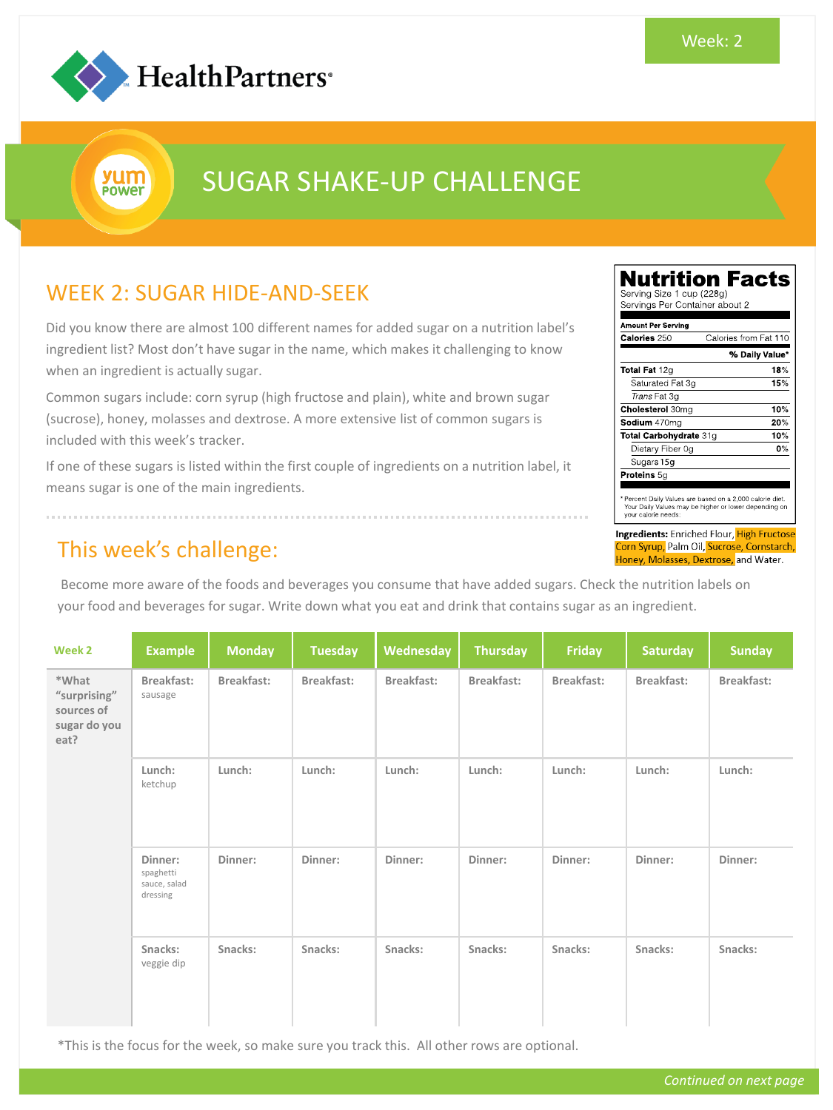

yum **POWET** 

# SUGAR SHAKE-UP CHALLENGE

### WEEK 2: SUGAR HIDE-AND-SEEK

Did you know there are almost 100 different names for added sugar on a nutrition label's ingredient list? Most don't have sugar in the name, which makes it challenging to know when an ingredient is actually sugar.

Common sugars include: corn syrup (high fructose and plain), white and brown sugar (sucrose), honey, molasses and dextrose. A more extensive list of common sugars is included with this week's tracker.

If one of these sugars is listed within the first couple of ingredients on a nutrition label, it means sugar is one of the main ingredients.

#### This week's challenge:

Become more aware of the foods and beverages you consume that have added sugars. Check the nutrition labels on your food and beverages for sugar. Write down what you eat and drink that contains sugar as an ingredient.

| Week 2                                                      | <b>Example</b>                                   | <b>Monday</b> | <b>Tuesday</b> | Wednesday  | <b>Thursday</b> | Friday     | <b>Saturday</b> | <b>Sunday</b> |
|-------------------------------------------------------------|--------------------------------------------------|---------------|----------------|------------|-----------------|------------|-----------------|---------------|
| *What<br>"surprising"<br>sources of<br>sugar do you<br>eat? | Breakfast:<br>sausage                            | Breakfast:    | Breakfast:     | Breakfast: | Breakfast:      | Breakfast: | Breakfast:      | Breakfast:    |
|                                                             | Lunch:<br>ketchup                                | Lunch:        | Lunch:         | Lunch:     | Lunch:          | Lunch:     | Lunch:          | Lunch:        |
|                                                             | Dinner:<br>spaghetti<br>sauce, salad<br>dressing | Dinner:       | Dinner:        | Dinner:    | Dinner:         | Dinner:    | Dinner:         | Dinner:       |
|                                                             | Snacks:<br>veggie dip                            | Snacks:       | Snacks:        | Snacks:    | Snacks:         | Snacks:    | Snacks:         | Snacks:       |

\*This is the focus for the week, so make sure you track this. All other rows are optional.

| <b>Amount Per Serving</b> |                       |
|---------------------------|-----------------------|
| Calories 250              | Calories from Fat 110 |
|                           | % Daily Value*        |
| Total Fat 12g             | 18%                   |
| Saturated Fat 3g          | 15%                   |
| Trans Fat 3g              |                       |
| <b>Cholesterol 30mg</b>   | 10%                   |
| Sodium 470mg              | 20%                   |
| Total Carbohydrate 31g    | 10%                   |
| Dietary Fiber 0g          | 0%                    |
| Sugars 15g                |                       |
| Proteins 5g               |                       |

Ingredients: Enriched Flour, High Fructose Corn Syrup, Palm Oil, Sucrose, Cornstarch, Honey, Molasses, Dextrose, and Water.